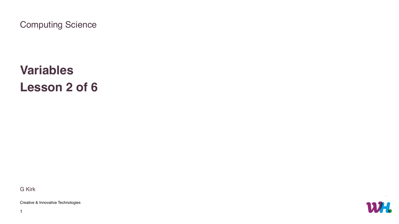

# **Variables Lesson 2 of 6**

Computing Science

G Kirk

Creative & Innovative Technologies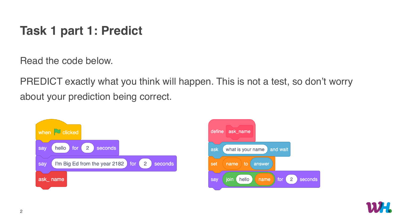Read the code below.

PREDICT exactly what you think will happen. This is not a test, so don't worry about your prediction being correct.





# **Task 1 part 1: Predict**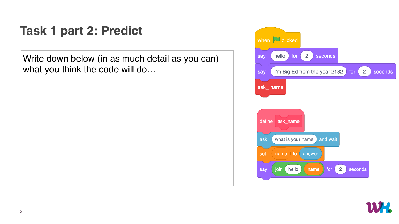





## **Task 1 part 2: Predict**

Write down below (in as much detail as you can) what you think the code will do…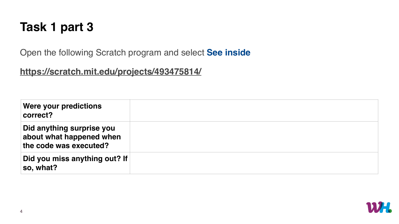### **Task 1 part 3**

Open the following Scratch program and select **See inside**

### **<https://scratch.mit.edu/projects/493475814/>**







| Were your predictions<br>correct?                                               |  |
|---------------------------------------------------------------------------------|--|
| Did anything surprise you<br>about what happened when<br>the code was executed? |  |
| Did you miss anything out? If<br>so, what?                                      |  |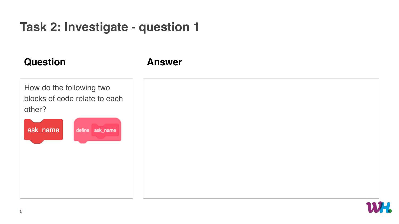How do the following two blocks of code relate to each other? ask\_name define ask\_name



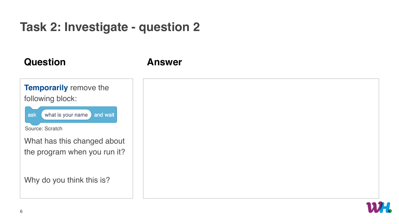

### **Answer**

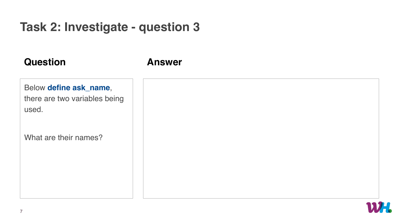### Below **define ask\_name**,

there are two variables being used.

What are their names?

### **Answer**

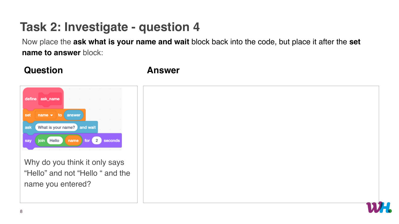

Why do you think it only says "Hello" and not "Hello " and the name you entered?

### **Answer**



Now place the **ask what is your name and wait** block back into the code, but place it after the **set name to answer** block: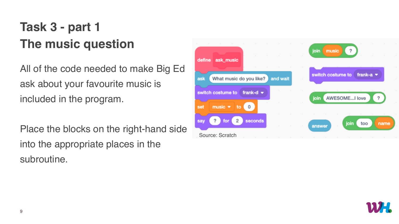# **Task 3 - part 1 The music question**

All of the code needed to make Big Ed ask about your favourite music is included in the program.

Place the blocks on the right-hand side into the appropriate places in the subroutine.



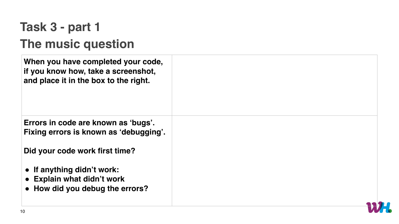# **Task 3 - part 1 The music question**



**When you have completed your code, if you know how, take a screenshot, and place it in the box to the right.**

**Errors in code are known as 'bugs'. Fixing errors is known as 'debugging'.**

**Did your code work first time?**

- **If anything didn't work:**
- **Explain what didn't work**
- **How did you debug the errors?**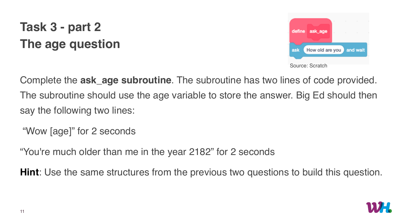# **Task 3 - part 2 The age question**

Complete the **ask\_age subroutine**. The subroutine has two lines of code provided. The subroutine should use the age variable to store the answer. Big Ed should then say the following two lines:

"Wow [age]" for 2 seconds

"You're much older than me in the year 2182" for 2 seconds

**Hint**: Use the same structures from the previous two questions to build this question.



Source: Scratch

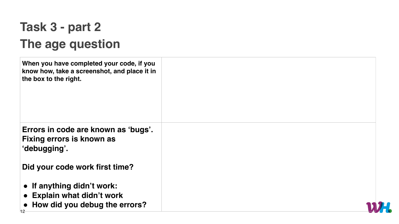# **Task 3 - part 2 The age question**

| When you have completed your code, if you<br>know how, take a screenshot, and place it in<br>the box to the right. |  |
|--------------------------------------------------------------------------------------------------------------------|--|
| Errors in code are known as 'bugs'.<br><b>Fixing errors is known as</b><br>'debugging'.                            |  |
| Did your code work first time?                                                                                     |  |
| • If anything didn't work:<br><b>Explain what didn't work</b><br>How did you debug the errors?                     |  |

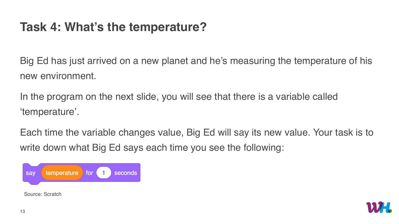# **Task 4: What's the temperature?**

Big Ed has just arrived on a new planet and he's measuring the temperature of his new environment.

In the program on the next slide, you will see that there is a variable called 'temperature'.

Each time the variable changes value, Big Ed will say its new value. Your task is to write down what Big Ed says each time you see the following:





Source: Scratch